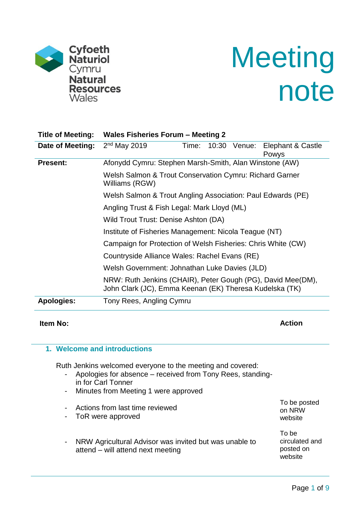

# **Meeting** note

| <b>Title of Meeting:</b>                                                  | Wales Fisheries Forum - Meeting 2                                                                                      |  |  |  |  |
|---------------------------------------------------------------------------|------------------------------------------------------------------------------------------------------------------------|--|--|--|--|
| Date of Meeting:                                                          | $2nd$ May 2019<br>Elephant & Castle<br>10:30 Venue:<br>Time:<br><b>Powys</b>                                           |  |  |  |  |
| <b>Present:</b>                                                           | Afonydd Cymru: Stephen Marsh-Smith, Alan Winstone (AW)                                                                 |  |  |  |  |
| Welsh Salmon & Trout Conservation Cymru: Richard Garner<br>Williams (RGW) |                                                                                                                        |  |  |  |  |
|                                                                           | Welsh Salmon & Trout Angling Association: Paul Edwards (PE)                                                            |  |  |  |  |
|                                                                           | Angling Trust & Fish Legal: Mark Lloyd (ML)                                                                            |  |  |  |  |
|                                                                           | Wild Trout Trust: Denise Ashton (DA)                                                                                   |  |  |  |  |
|                                                                           | Institute of Fisheries Management: Nicola Teague (NT)                                                                  |  |  |  |  |
| Campaign for Protection of Welsh Fisheries: Chris White (CW)              |                                                                                                                        |  |  |  |  |
|                                                                           | Countryside Alliance Wales: Rachel Evans (RE)                                                                          |  |  |  |  |
|                                                                           | Welsh Government: Johnathan Luke Davies (JLD)                                                                          |  |  |  |  |
|                                                                           | NRW: Ruth Jenkins (CHAIR), Peter Gough (PG), David Mee(DM),<br>John Clark (JC), Emma Keenan (EK) Theresa Kudelska (TK) |  |  |  |  |
| <b>Apologies:</b>                                                         | Tony Rees, Angling Cymru                                                                                               |  |  |  |  |
|                                                                           |                                                                                                                        |  |  |  |  |

# **Item No: Action**

#### **1. Welcome and introductions**

Ruth Jenkins welcomed everyone to the meeting and covered:

- Apologies for absence received from Tony Rees, standingin for Carl Tonner
- Minutes from Meeting 1 were approved
- Actions from last time reviewed
- ToR were approved
- NRW Agricultural Advisor was invited but was unable to attend – will attend next meeting

To be posted on NRW website

To be circulated and posted on website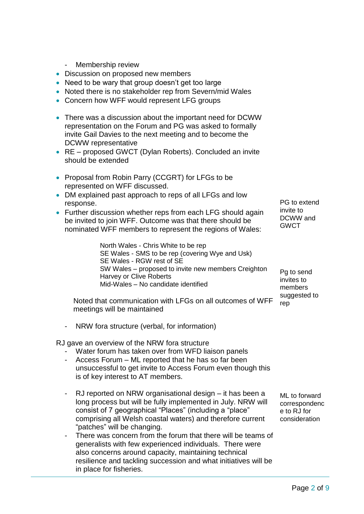- Membership review
- Discussion on proposed new members
- Need to be wary that group doesn't get too large
- Noted there is no stakeholder rep from Severn/mid Wales
- Concern how WFF would represent LFG groups
- There was a discussion about the important need for DCWW representation on the Forum and PG was asked to formally invite Gail Davies to the next meeting and to become the DCWW representative
- RE proposed GWCT (Dylan Roberts). Concluded an invite should be extended
- Proposal from Robin Parry (CCGRT) for LFGs to be represented on WFF discussed.
- DM explained past approach to reps of all LFGs and low response.
- Further discussion whether reps from each LFG should again be invited to join WFF. Outcome was that there should be nominated WFF members to represent the regions of Wales:

North Wales - Chris White to be rep SE Wales - SMS to be rep (covering Wye and Usk) SE Wales - RGW rest of SE SW Wales – proposed to invite new members Creighton Harvey or Clive Roberts Mid-Wales – No candidate identified

Noted that communication with LFGs on all outcomes of WFF meetings will be maintained

- NRW fora structure (verbal, for information)

RJ gave an overview of the NRW fora structure

- Water forum has taken over from WFD liaison panels
- Access Forum ML reported that he has so far been unsuccessful to get invite to Access Forum even though this is of key interest to AT members.
- RJ reported on NRW organisational design it has been a long process but will be fully implemented in July. NRW will consist of 7 geographical "Places" (including a "place" comprising all Welsh coastal waters) and therefore current "patches" will be changing.
- There was concern from the forum that there will be teams of generalists with few experienced individuals. There were also concerns around capacity, maintaining technical resilience and tackling succession and what initiatives will be in place for fisheries.

PG to extend invite to DCWW and **GWCT** 

Pg to send invites to members suggested to rep

ML to forward correspondenc e to RJ for consideration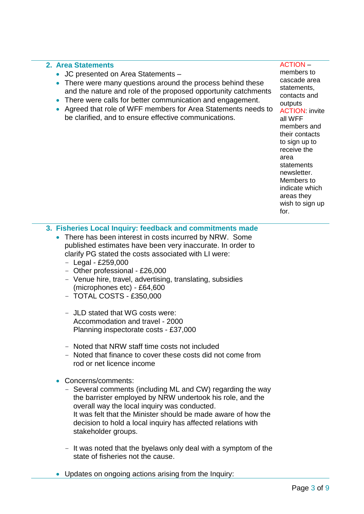#### **2. Area Statements**

- JC presented on Area Statements –
- There were many questions around the process behind these and the nature and role of the proposed opportunity catchments
- There were calls for better communication and engagement.
- Agreed that role of WFF members for Area Statements needs to be clarified, and to ensure effective communications.

#### ACTION –

members to cascade area statements, contacts and outputs ACTION: invite all WFF members and their contacts to sign up to receive the area **statements** newsletter. Members to indicate which areas they wish to sign up for.

## **3. Fisheries Local Inquiry: feedback and commitments made**

- There has been interest in costs incurred by NRW. Some published estimates have been very inaccurate. In order to clarify PG stated the costs associated with LI were:
	- $-$  Legal £259,000
	- Other professional £26,000
	- Venue hire, travel, advertising, translating, subsidies (microphones etc) - £64,600
	- TOTAL COSTS £350,000
	- JLD stated that WG costs were: Accommodation and travel - 2000 Planning inspectorate costs - £37,000
	- Noted that NRW staff time costs not included
	- Noted that finance to cover these costs did not come from rod or net licence income
- Concerns/comments:
	- Several comments (including ML and CW) regarding the way the barrister employed by NRW undertook his role, and the overall way the local inquiry was conducted. It was felt that the Minister should be made aware of how the decision to hold a local inquiry has affected relations with stakeholder groups.
	- It was noted that the byelaws only deal with a symptom of the state of fisheries not the cause.
- Updates on ongoing actions arising from the Inquiry: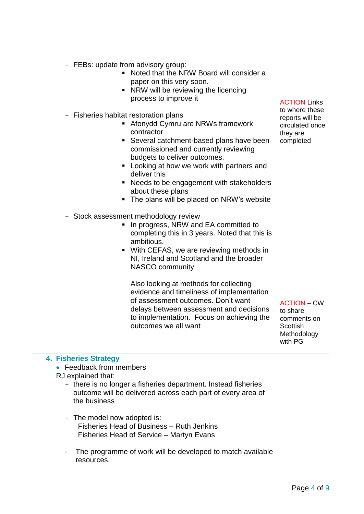- FEBs: update from advisory group:
	- Noted that the NRW Board will consider a paper on this very soon.
	- NRW will be reviewing the licencing process to improve it
- Fisheries habitat restoration plans
	- Afonydd Cymru are NRWs framework contractor
	- Several catchment-based plans have been commissioned and currently reviewing budgets to deliver outcomes.
	- Looking at how we work with partners and deliver this
	- Needs to be engagement with stakeholders about these plans
	- The plans will be placed on NRW's website
- Stock assessment methodology review
	- In progress, NRW and EA committed to completing this in 3 years. Noted that this is ambitious.
	- With CEFAS, we are reviewing methods in NI, Ireland and Scotland and the broader NASCO community.

Also looking at methods for collecting evidence and timeliness of implementation of assessment outcomes. Don't want delays between assessment and decisions to implementation. Focus on achieving the outcomes we all want

ACTION – CW to share comments on **Scottish** Methodology with PG

#### **4. Fisheries Strategy**

• Feedback from members

RJ explained that:

- there is no longer a fisheries department. Instead fisheries outcome will be delivered across each part of every area of the business
- The model now adopted is: Fisheries Head of Business – Ruth Jenkins Fisheries Head of Service – Martyn Evans
- The programme of work will be developed to match available resources.

ACTION Links

to where these reports will be circulated once they are completed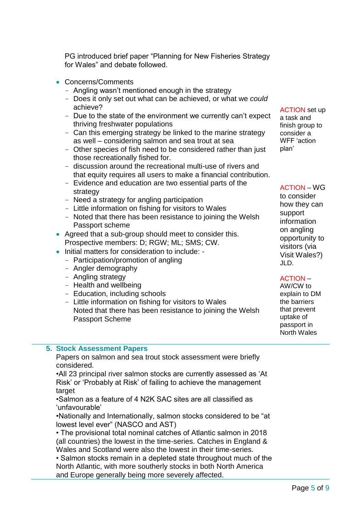PG introduced brief paper "Planning for New Fisheries Strategy for Wales" and debate followed.

- Concerns/Comments
	- Angling wasn't mentioned enough in the strategy
	- Does it only set out what can be achieved, or what we *could* achieve?
	- Due to the state of the environment we currently can't expect thriving freshwater populations
	- Can this emerging strategy be linked to the marine strategy as well – considering salmon and sea trout at sea
	- Other species of fish need to be considered rather than just those recreationally fished for.
	- discussion around the recreational multi-use of rivers and that equity requires all users to make a financial contribution.
	- Evidence and education are two essential parts of the strategy
	- Need a strategy for angling participation
	- Little information on fishing for visitors to Wales
	- Noted that there has been resistance to joining the Welsh Passport scheme
- Agreed that a sub-group should meet to consider this. Prospective members: D; RGW; ML; SMS; CW.
- Initial matters for consideration to include:
	- Participation/promotion of angling
	- Angler demography
	- Angling strategy
	- Health and wellbeing
	- Education, including schools
	- Little information on fishing for visitors to Wales Noted that there has been resistance to joining the Welsh Passport Scheme

ACTION set up

a task and finish group to consider a WFF 'action plan'

#### ACTION – WG

to consider how they can support information on angling opportunity to visitors (via Visit Wales?) JLD.

# ACTION –

AW/CW to explain to DM the barriers that prevent uptake of passport in North Wales

## **5. Stock Assessment Papers**

Papers on salmon and sea trout stock assessment were briefly considered.

•All 23 principal river salmon stocks are currently assessed as 'At Risk' or 'Probably at Risk' of failing to achieve the management target

•Salmon as a feature of 4 N2K SAC sites are all classified as 'unfavourable'

•Nationally and Internationally, salmon stocks considered to be "at lowest level ever" (NASCO and AST)

• The provisional total nominal catches of Atlantic salmon in 2018 (all countries) the lowest in the time-series. Catches in England & Wales and Scotland were also the lowest in their time-series.

• Salmon stocks remain in a depleted state throughout much of the North Atlantic, with more southerly stocks in both North America and Europe generally being more severely affected.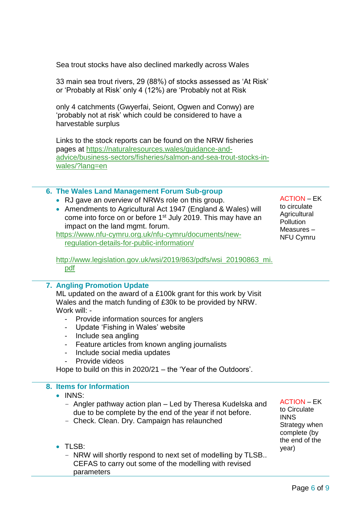Sea trout stocks have also declined markedly across Wales

33 main sea trout rivers, 29 (88%) of stocks assessed as 'At Risk' or 'Probably at Risk' only 4 (12%) are 'Probably not at Risk

only 4 catchments (Gwyerfai, Seiont, Ogwen and Conwy) are 'probably not at risk' which could be considered to have a harvestable surplus

Links to the stock reports can be found on the NRW fisheries pages at [https://naturalresources.wales/guidance-and](https://naturalresources.wales/guidance-and-advice/business-sectors/fisheries/salmon-and-sea-trout-stocks-in-wales/?lang=en)[advice/business-sectors/fisheries/salmon-and-sea-trout-stocks-in](https://naturalresources.wales/guidance-and-advice/business-sectors/fisheries/salmon-and-sea-trout-stocks-in-wales/?lang=en)[wales/?lang=en](https://naturalresources.wales/guidance-and-advice/business-sectors/fisheries/salmon-and-sea-trout-stocks-in-wales/?lang=en)

#### **6. The Wales Land Management Forum Sub-group**

- RJ gave an overview of NRWs role on this group.
- Amendments to Agricultural Act 1947 (England & Wales) will come into force on or before 1<sup>st</sup> July 2019. This may have an impact on the land mgmt. forum.

[https://www.nfu-cymru.org.uk/nfu-cymru/documents/new](https://www.nfu-cymru.org.uk/nfu-cymru/documents/new-regulation-details-for-public-information/)[regulation-details-for-public-information/](https://www.nfu-cymru.org.uk/nfu-cymru/documents/new-regulation-details-for-public-information/)

ACTION – EK to circulate **Agricultural Pollution** Measures – NFU Cymru

[http://www.legislation.gov.uk/wsi/2019/863/pdfs/wsi\\_20190863\\_mi.](http://www.legislation.gov.uk/wsi/2019/863/pdfs/wsi_20190863_mi.pdf) [pdf](http://www.legislation.gov.uk/wsi/2019/863/pdfs/wsi_20190863_mi.pdf)

#### **7. Angling Promotion Update**

ML updated on the award of a £100k grant for this work by Visit Wales and the match funding of £30k to be provided by NRW. Work will: -

- Provide information sources for anglers
- Update 'Fishing in Wales' website
- Include sea angling
- Feature articles from known angling journalists
- Include social media updates
- Provide videos

Hope to build on this in 2020/21 – the 'Year of the Outdoors'.

## **8. Items for Information**

- INNS:
	- Angler pathway action plan Led by Theresa Kudelska and due to be complete by the end of the year if not before.
	- Check. Clean. Dry. Campaign has relaunched

ACTION – EK to Circulate INNS Strategy when complete (by the end of the year)

• TLSB:

- NRW will shortly respond to next set of modelling by TLSB.. CEFAS to carry out some of the modelling with revised parameters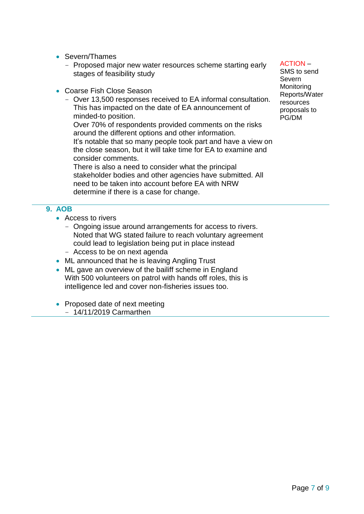- Severn/Thames
	- Proposed major new water resources scheme starting early stages of feasibility study
- Coarse Fish Close Season
	- Over 13,500 responses received to EA informal consultation. This has impacted on the date of EA announcement of minded-to position.

Over 70% of respondents provided comments on the risks around the different options and other information. It's notable that so many people took part and have a view on the close season, but it will take time for EA to examine and consider comments.

There is also a need to consider what the principal stakeholder bodies and other agencies have submitted. All need to be taken into account before EA with NRW determine if there is a case for change.

## **9. AOB**

- Access to rivers
	- Ongoing issue around arrangements for access to rivers. Noted that WG stated failure to reach voluntary agreement could lead to legislation being put in place instead
	- Access to be on next agenda
- ML announced that he is leaving Angling Trust
- ML gave an overview of the bailiff scheme in England With 500 volunteers on patrol with hands off roles, this is intelligence led and cover non-fisheries issues too.
- Proposed date of next meeting
	- 14/11/2019 Carmarthen

#### ACTION –

SMS to send Severn Monitoring Reports/Water resources proposals to PG/DM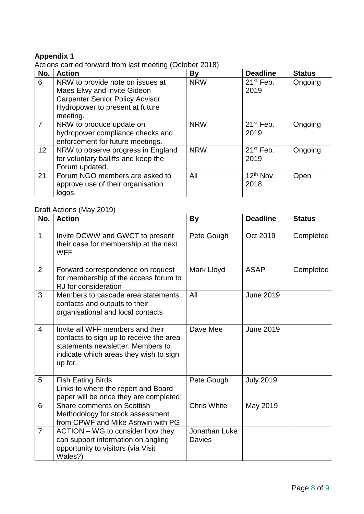## **Appendix 1**

Actions carried forward from last meeting (October 2018)

| No.             | <b>Action</b>                                                                                                                                            | By         | <b>Deadline</b>     | <b>Status</b> |
|-----------------|----------------------------------------------------------------------------------------------------------------------------------------------------------|------------|---------------------|---------------|
| 6               | NRW to provide note on issues at<br>Maes Elwy and invite Gideon<br><b>Carpenter Senior Policy Advisor</b><br>Hydropower to present at future<br>meeting. | <b>NRW</b> | $21st$ Feb.<br>2019 | Ongoing       |
| $\overline{7}$  | NRW to produce update on<br>hydropower compliance checks and<br>enforcement for future meetings.                                                         | <b>NRW</b> | $21st$ Feb.<br>2019 | Ongoing       |
| 12 <sup>2</sup> | NRW to observe progress in England<br>for voluntary bailiffs and keep the<br>Forum updated.                                                              | <b>NRW</b> | $21st$ Feb.<br>2019 | Ongoing       |
| 21              | Forum NGO members are asked to<br>approve use of their organisation<br>logos.                                                                            | All        | $12th$ Nov.<br>2018 | Open          |

# Draft Actions (May 2019)

| No.            | <b>Action</b>                                                                                                                                                         | <b>By</b>                      | <b>Deadline</b>  | <b>Status</b> |
|----------------|-----------------------------------------------------------------------------------------------------------------------------------------------------------------------|--------------------------------|------------------|---------------|
| $\mathbf 1$    | Invite DCWW and GWCT to present<br>their case for membership at the next<br><b>WFF</b>                                                                                | Pete Gough                     | Oct 2019         | Completed     |
| 2              | Forward correspondence on request<br>for membership of the access forum to<br>RJ for consideration                                                                    | Mark Lloyd                     | <b>ASAP</b>      | Completed     |
| 3              | Members to cascade area statements,<br>contacts and outputs to their<br>organisational and local contacts                                                             | All                            | <b>June 2019</b> |               |
| $\overline{4}$ | Invite all WFF members and their<br>contacts to sign up to receive the area<br>statements newsletter. Members to<br>indicate which areas they wish to sign<br>up for. | Dave Mee                       | <b>June 2019</b> |               |
| 5              | <b>Fish Eating Birds</b><br>Links to where the report and Board<br>paper will be once they are completed                                                              | Pete Gough                     | <b>July 2019</b> |               |
| 6              | <b>Share comments on Scottish</b><br>Methodology for stock assessment<br>from CPWF and Mike Ashwin with PG                                                            | <b>Chris White</b>             | May 2019         |               |
| $\overline{7}$ | ACTION – WG to consider how they<br>can support information on angling<br>opportunity to visitors (via Visit<br>Wales?)                                               | Jonathan Luke<br><b>Davies</b> |                  |               |